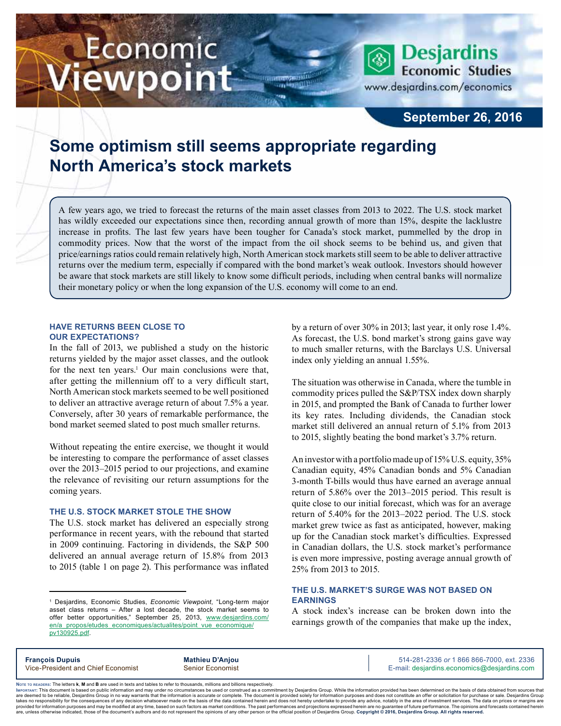# Economic iewpoint

**Economic Studies** www.desjardins.com/economics

**Desjardins** 

### **September 26, 2016**

## **Some optimism still seems appropriate regarding North America's stock markets**

A few years ago, we tried to forecast the returns of the main asset classes from 2013 to 2022. The U.S. stock market has wildly exceeded our expectations since then, recording annual growth of more than 15%, despite the lacklustre increase in profits. The last few years have been tougher for Canada's stock market, pummelled by the drop in commodity prices. Now that the worst of the impact from the oil shock seems to be behind us, and given that price/earnings ratios could remain relatively high, North American stock markets still seem to be able to deliver attractive returns over the medium term, especially if compared with the bond market's weak outlook. Investors should however be aware that stock markets are still likely to know some difficult periods, including when central banks will normalize their monetary policy or when the long expansion of the U.S. economy will come to an end.

#### **HAVE RETURNS BEEN CLOSE TO OUR EXPECTATIONS?**

In the fall of 2013, we published a study on the historic returns yielded by the major asset classes, and the outlook for the next ten years.<sup>1</sup> Our main conclusions were that, after getting the millennium off to a very difficult start, North American stock markets seemed to be well positioned to deliver an attractive average return of about 7.5% a year. Conversely, after 30 years of remarkable performance, the bond market seemed slated to post much smaller returns.

Without repeating the entire exercise, we thought it would be interesting to compare the performance of asset classes over the 2013–2015 period to our projections, and examine the relevance of revisiting our return assumptions for the coming years.

#### **THE U.S. STOCK MARKET STOLE THE SHOW**

The U.S. stock market has delivered an especially strong performance in recent years, with the rebound that started in 2009 continuing. Factoring in dividends, the S&P 500 delivered an annual average return of 15.8% from 2013 to 2015 (table 1 on page 2). This performance was inflated by a return of over 30% in 2013; last year, it only rose 1.4%. As forecast, the U.S. bond market's strong gains gave way to much smaller returns, with the Barclays U.S. Universal index only yielding an annual 1.55%.

The situation was otherwise in Canada, where the tumble in commodity prices pulled the S&P/TSX index down sharply in 2015, and prompted the Bank of Canada to further lower its key rates. Including dividends, the Canadian stock market still delivered an annual return of 5.1% from 2013 to 2015, slightly beating the bond market's 3.7% return.

An investor with a portfolio made up of 15% U.S. equity, 35% Canadian equity, 45% Canadian bonds and 5% Canadian 3‑month T‑bills would thus have earned an average annual return of 5.86% over the 2013–2015 period. This result is quite close to our initial forecast, which was for an average return of 5.40% for the 2013–2022 period. The U.S. stock market grew twice as fast as anticipated, however, making up for the Canadian stock market's difficulties. Expressed in Canadian dollars, the U.S. stock market's performance is even more impressive, posting average annual growth of 25% from 2013 to 2015.

#### **THE U.S. MARKET'S SURGE WAS NOT BASED ON EARNINGS**

A stock index's increase can be broken down into the earnings growth of the companies that make up the index,

**François Dupuis Mathieu D'Anjou** 514-281-2336 *or* 1 866 866-7000, ext. 2336 Vice-President and Chief Economist Senior Economist Senior Economist E-mail: desjardins.economics@desjardins.com

Noте то келоекs: The letters **k, M** and **B** are used in texts and tables to refer to thousands, millions and billions respectively.<br>Імроктлит: This document is based on public information and may under no circumstances be are deemed to be reliable. Desiardins Group in no way warrants that the information is accurate or complete. The document is provided solely for information purposes and does not constitute an offer or solicitation for pur takes no responsibility for the consequences of any decision whatsoever made on the basis of the data contained herein and does not hereby undertake to provide any advice, notably in the area of investment services. The da .<br>are, unless otherwise indicated, those of the document's authors and do not represent the opinions of any other person or the official position of Desjardins Group. Copyright @ 2016, Desjardins Group. All rights reserved

<sup>1</sup> Desjardins, Economic Studies, *Economic Viewpoint*, "Long-term major asset class returns – After a lost decade, the stock market seems to offer better opportunities," September 25, 2013, [www.desjardins.com/](http://www.desjardins.com/en/a_propos/etudes_economiques/actualites/point_vue_economique/pv130925.pdf) [en/a\\_propos/etudes\\_economiques/actualites/point\\_vue\\_economique/](http://www.desjardins.com/en/a_propos/etudes_economiques/actualites/point_vue_economique/pv130925.pdf) [pv130925.pdf](http://www.desjardins.com/en/a_propos/etudes_economiques/actualites/point_vue_economique/pv130925.pdf).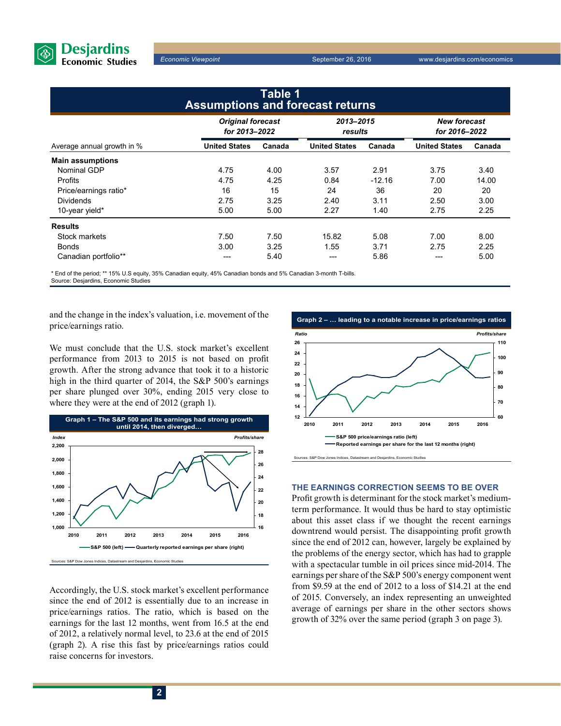

*Economic Viewpoint* September 26, 2016 www.desjardins.com/economics

| Table 1<br><b>Assumptions and forecast returns</b> |                                           |        |                      |          |                                      |        |
|----------------------------------------------------|-------------------------------------------|--------|----------------------|----------|--------------------------------------|--------|
|                                                    | <b>Original forecast</b><br>for 2013-2022 |        | 2013-2015<br>results |          | <b>New forecast</b><br>for 2016-2022 |        |
| Average annual growth in %                         | <b>United States</b>                      | Canada | <b>United States</b> | Canada   | <b>United States</b>                 | Canada |
| <b>Main assumptions</b>                            |                                           |        |                      |          |                                      |        |
| Nominal GDP                                        | 4.75                                      | 4.00   | 3.57                 | 2.91     | 3.75                                 | 3.40   |
| <b>Profits</b>                                     | 4.75                                      | 4.25   | 0.84                 | $-12.16$ | 7.00                                 | 14.00  |
| Price/earnings ratio*                              | 16                                        | 15     | 24                   | 36       | 20                                   | 20     |
| <b>Dividends</b>                                   | 2.75                                      | 3.25   | 2.40                 | 3.11     | 2.50                                 | 3.00   |
| 10-year yield*                                     | 5.00                                      | 5.00   | 2.27                 | 1.40     | 2.75                                 | 2.25   |
| <b>Results</b>                                     |                                           |        |                      |          |                                      |        |
| Stock markets                                      | 7.50                                      | 7.50   | 15.82                | 5.08     | 7.00                                 | 8.00   |
| <b>Bonds</b>                                       | 3.00                                      | 3.25   | 1.55                 | 3.71     | 2.75                                 | 2.25   |
| Canadian portfolio**                               | ---                                       | 5.40   | ---                  | 5.86     | ---                                  | 5.00   |

\* End of the period; \*\* 15% U.S equity, 35% Canadian equity, 45% Canadian bonds and 5% Canadian 3-month T-bills.

Source: Desjardins, Economic Studies

and the change in the index's valuation, i.e. movement of the price/earnings ratio.

We must conclude that the U.S. stock market's excellent performance from 2013 to 2015 is not based on profit growth. After the strong advance that took it to a historic high in the third quarter of 2014, the S&P 500's earnings per share plunged over 30%, ending 2015 very close to where they were at the end of 2012 (graph 1).



Accordingly, the U.S. stock market's excellent performance since the end of 2012 is essentially due to an increase in price/earnings ratios. The ratio, which is based on the earnings for the last 12 months, went from 16.5 at the end of 2012, a relatively normal level, to 23.6 at the end of 2015 (graph 2). A rise this fast by price/earnings ratios could raise concerns for investors.



#### **THE EARNINGS CORRECTION SEEMS TO BE OVER**

Profit growth is determinant for the stock market's mediumterm performance. It would thus be hard to stay optimistic about this asset class if we thought the recent earnings downtrend would persist. The disappointing profit growth since the end of 2012 can, however, largely be explained by the problems of the energy sector, which has had to grapple with a spectacular tumble in oil prices since mid-2014. The earnings per share of the S&P 500's energy component went from \$9.59 at the end of 2012 to a loss of \$14.21 at the end of 2015. Conversely, an index representing an unweighted average of earnings per share in the other sectors shows growth of 32% over the same period (graph 3 on page 3).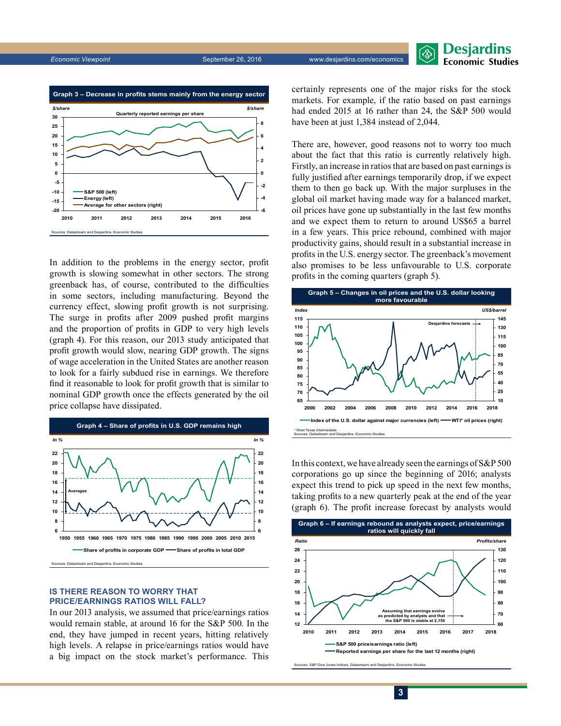

In addition to the problems in the energy sector, profit growth is slowing somewhat in other sectors. The strong greenback has, of course, contributed to the difficulties in some sectors, including manufacturing. Beyond the currency effect, slowing profit growth is not surprising. The surge in profits after 2009 pushed profit margins and the proportion of profits in GDP to very high levels (graph 4). For this reason, our 2013 study anticipated that profit growth would slow, nearing GDP growth. The signs of wage acceleration in the United States are another reason to look for a fairly subdued rise in earnings. We therefore find it reasonable to look for profit growth that is similar to nominal GDP growth once the effects generated by the oil price collapse have dissipated.



**IS THERE REASON TO WORRY THAT PRICE/EARNINGS RATIOS WILL FALL?**

In our 2013 analysis, we assumed that price/earnings ratios would remain stable, at around 16 for the S&P 500. In the end, they have jumped in recent years, hitting relatively high levels. A relapse in price/earnings ratios would have a big impact on the stock market's performance. This certainly represents one of the major risks for the stock markets. For example, if the ratio based on past earnings had ended 2015 at 16 rather than 24, the S&P 500 would have been at just 1,384 instead of 2,044.

**Desjardins Economic Studies** 

There are, however, good reasons not to worry too much about the fact that this ratio is currently relatively high. Firstly, an increase in ratios that are based on past earnings is fully justified after earnings temporarily drop, if we expect them to then go back up. With the major surpluses in the global oil market having made way for a balanced market, oil prices have gone up substantially in the last few months and we expect them to return to around US\$65 a barrel in a few years. This price rebound, combined with major productivity gains, should result in a substantial increase in profits in the U.S. energy sector. The greenback's movement also promises to be less unfavourable to U.S. corporate profits in the coming quarters (graph 5).



In this context, we have already seen the earnings of S&P 500 corporations go up since the beginning of 2016; analysts expect this trend to pick up speed in the next few months, taking profits to a new quarterly peak at the end of the year (graph 6). The profit increase forecast by analysts would



**3**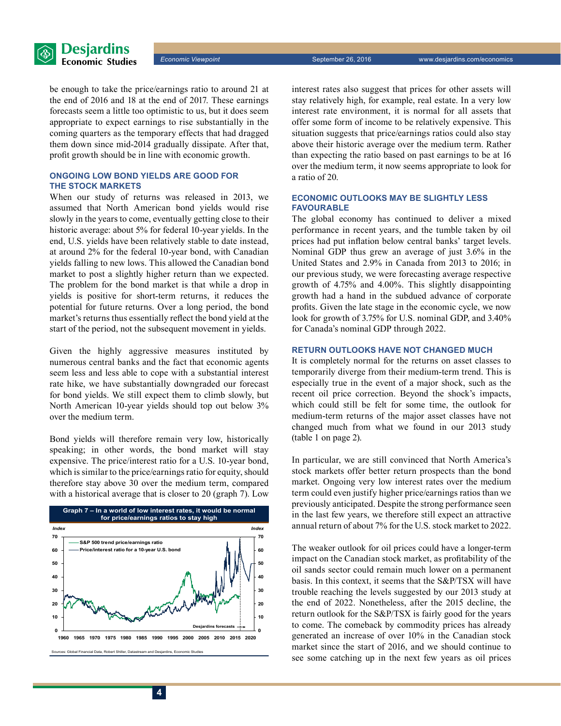

be enough to take the price/earnings ratio to around 21 at the end of 2016 and 18 at the end of 2017. These earnings forecasts seem a little too optimistic to us, but it does seem appropriate to expect earnings to rise substantially in the coming quarters as the temporary effects that had dragged them down since mid-2014 gradually dissipate. After that, profit growth should be in line with economic growth.

#### **ONGOING LOW BOND YIELDS ARE GOOD FOR THE STOCK MARKETS**

When our study of returns was released in 2013, we assumed that North American bond yields would rise slowly in the years to come, eventually getting close to their historic average: about 5% for federal 10-year yields. In the end, U.S. yields have been relatively stable to date instead, at around 2% for the federal 10‑year bond, with Canadian yields falling to new lows. This allowed the Canadian bond market to post a slightly higher return than we expected. The problem for the bond market is that while a drop in yields is positive for short-term returns, it reduces the potential for future returns. Over a long period, the bond market's returns thus essentially reflect the bond yield at the start of the period, not the subsequent movement in yields.

Given the highly aggressive measures instituted by numerous central banks and the fact that economic agents seem less and less able to cope with a substantial interest rate hike, we have substantially downgraded our forecast for bond yields. We still expect them to climb slowly, but North American 10‑year yields should top out below 3% over the medium term.

Bond yields will therefore remain very low, historically speaking; in other words, the bond market will stay expensive. The price/interest ratio for a U.S. 10‑year bond, which is similar to the price/earnings ratio for equity, should therefore stay above 30 over the medium term, compared with a historical average that is closer to 20 (graph 7). Low



interest rates also suggest that prices for other assets will stay relatively high, for example, real estate. In a very low interest rate environment, it is normal for all assets that offer some form of income to be relatively expensive. This situation suggests that price/earnings ratios could also stay above their historic average over the medium term. Rather than expecting the ratio based on past earnings to be at 16 over the medium term, it now seems appropriate to look for a ratio of 20.

#### **ECONOMIC OUTLOOKS MAY BE SLIGHTLY LESS FAVOURABLE**

The global economy has continued to deliver a mixed performance in recent years, and the tumble taken by oil prices had put inflation below central banks' target levels. Nominal GDP thus grew an average of just 3.6% in the United States and 2.9% in Canada from 2013 to 2016; in our previous study, we were forecasting average respective growth of 4.75% and 4.00%. This slightly disappointing growth had a hand in the subdued advance of corporate profits. Given the late stage in the economic cycle, we now look for growth of 3.75% for U.S. nominal GDP, and 3.40% for Canada's nominal GDP through 2022.

#### **RETURN OUTLOOKS HAVE NOT CHANGED MUCH**

It is completely normal for the returns on asset classes to temporarily diverge from their medium-term trend. This is especially true in the event of a major shock, such as the recent oil price correction. Beyond the shock's impacts, which could still be felt for some time, the outlook for medium-term returns of the major asset classes have not changed much from what we found in our 2013 study (table 1 on page 2).

In particular, we are still convinced that North America's stock markets offer better return prospects than the bond market. Ongoing very low interest rates over the medium term could even justify higher price/earnings ratios than we previously anticipated. Despite the strong performance seen in the last few years, we therefore still expect an attractive annual return of about 7% for the U.S. stock market to 2022.

The weaker outlook for oil prices could have a longer-term impact on the Canadian stock market, as profitability of the oil sands sector could remain much lower on a permanent basis. In this context, it seems that the S&P/TSX will have trouble reaching the levels suggested by our 2013 study at the end of 2022. Nonetheless, after the 2015 decline, the return outlook for the S&P/TSX is fairly good for the years to come. The comeback by commodity prices has already generated an increase of over 10% in the Canadian stock market since the start of 2016, and we should continue to